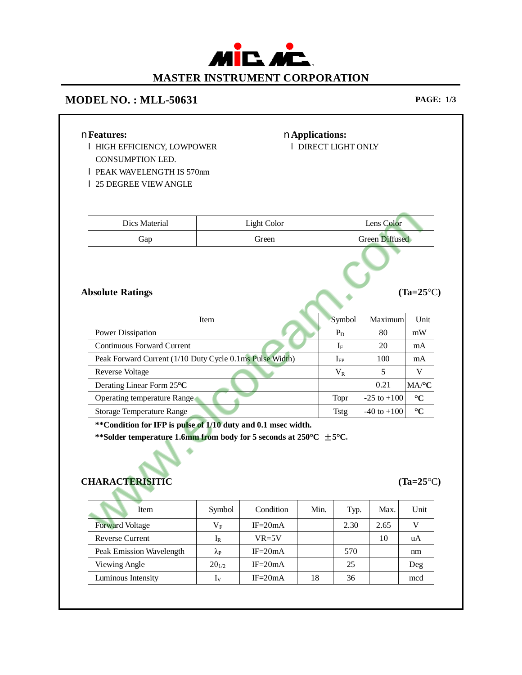## MIL AL **MASTER INSTRUMENT CORPORATION**

## **MODEL NO. : MLL-50631 PAGE: 1/3**

| nFeatures:<br><b>I HIGH EFFICIENCY, LOWPOWER</b><br>CONSUMPTION LED.                             |                    | nApplications:<br><b>I DIRECT LIGHT ONLY</b> |        |                |         |                 |                    |
|--------------------------------------------------------------------------------------------------|--------------------|----------------------------------------------|--------|----------------|---------|-----------------|--------------------|
| <b>I PEAK WAVELENGTH IS 570nm</b>                                                                |                    |                                              |        |                |         |                 |                    |
| 1 25 DEGREE VIEW ANGLE                                                                           |                    |                                              |        |                |         |                 |                    |
|                                                                                                  |                    |                                              |        |                |         |                 |                    |
|                                                                                                  |                    |                                              |        |                |         |                 |                    |
| Dics Material                                                                                    | <b>Light Color</b> |                                              |        | Lens Color     |         |                 |                    |
| Gap                                                                                              | Green              |                                              |        | Green Diffused |         |                 |                    |
| <b>Absolute Ratings</b>                                                                          |                    |                                              |        |                |         |                 | $(Ta=25^{\circ}C)$ |
| Item                                                                                             |                    |                                              |        |                | Symbol  | Maximum         | Unit               |
| Power Dissipation                                                                                |                    |                                              |        |                | $P_{D}$ | 80              | mW                 |
| <b>Continuous Forward Current</b>                                                                |                    |                                              |        |                | $I_F$   | 20              | mA                 |
| Peak Forward Current (1/10 Duty Cycle 0.1ms Pulse Width)                                         |                    |                                              |        | $I_{FP}$       |         | 100             | mA                 |
| <b>Reverse Voltage</b>                                                                           |                    |                                              |        | $V_R$          |         | 5               | V                  |
| Derating Linear Form 25°C                                                                        |                    |                                              |        |                |         | 0.21            | MA/°C              |
| Operating temperature Range                                                                      |                    |                                              |        | Topr           |         | $-25$ to $+100$ | $\rm ^{\circ}C$    |
| Storage Temperature Range                                                                        |                    |                                              |        | Tstg           |         | $-40$ to $+100$ | $\rm ^{\circ}C$    |
| **Condition for IFP is pulse of 1/10 duty and 0.1 msec width.                                    |                    |                                              |        |                |         |                 |                    |
| **Solder temperature 1.6mm from body for 5 seconds at 250°C $\pm$ 5°C.<br><b>CHARACTERISITIC</b> |                    |                                              |        |                |         |                 | $(Ta=25^{\circ}C)$ |
| г<br>Item                                                                                        | Symbol             | Condition                                    | Min.   |                | Typ.    | Max.            | Unit               |
| <b>Forward Voltage</b>                                                                           | $V_{\rm F}$        | $IF = 20mA$                                  |        |                | 2.30    | 2.65            | V                  |
| Reverse Current                                                                                  | $I_{R}$            | $VR = 5V$                                    |        |                |         | 10              | uA                 |
| Peak Emission Wavelength                                                                         | $\lambda_{\rm P}$  | $IF = 20mA$                                  |        |                | 570     |                 | $\rm{nm}$          |
| Viewing Angle                                                                                    | $2\theta_{1/2}$    | $IF = 20mA$                                  |        |                | 25      |                 | Deg                |
| Luminous Intensity                                                                               | $I_V$              | $IF = 20mA$                                  | $18\,$ |                | 36      |                 | mcd                |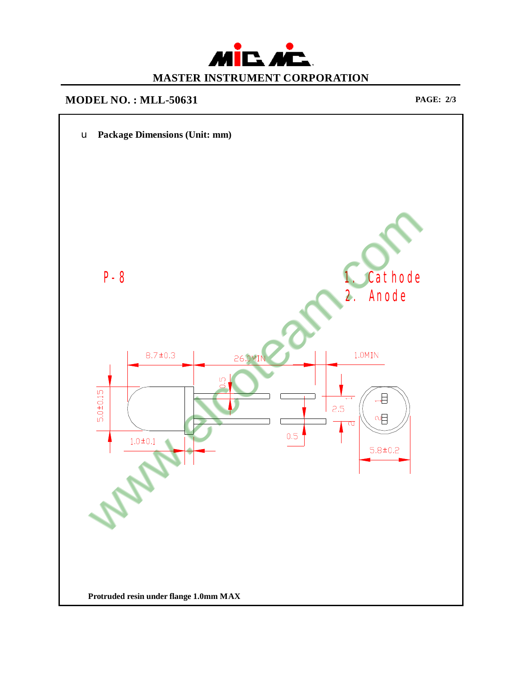

## **MODEL NO. : MLL-50631 PAGE: 2/3**